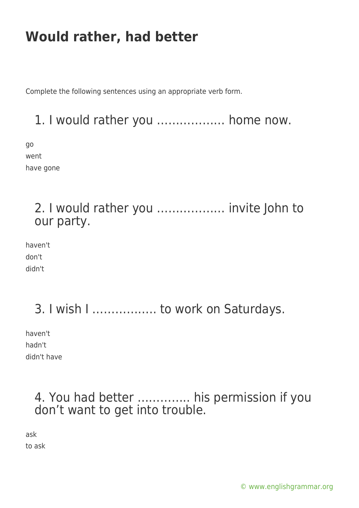# **Would rather, had better**

Complete the following sentences using an appropriate verb form.

### 1. I would rather you ……………… home now.

go went have gone

#### 2. I would rather you ……………… invite John to our party.

haven't don't didn't

## 3. I wish I …………….. to work on Saturdays.

haven't hadn't didn't have

#### 4. You had better ………….. his permission if you don't want to get into trouble.

ask to ask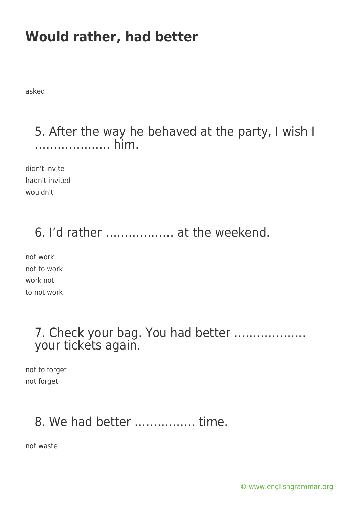# **Would rather, had better**

asked

#### 5. After the way he behaved at the party, I wish I ……………….. him.

didn't invite hadn't invited wouldn't

### 6. I'd rather ……………… at the weekend.

not work not to work work not to not work

#### 7. Check your bag. You had better ………………. your tickets again.

not to forget not forget

## 8. We had better ……………. time.

not waste